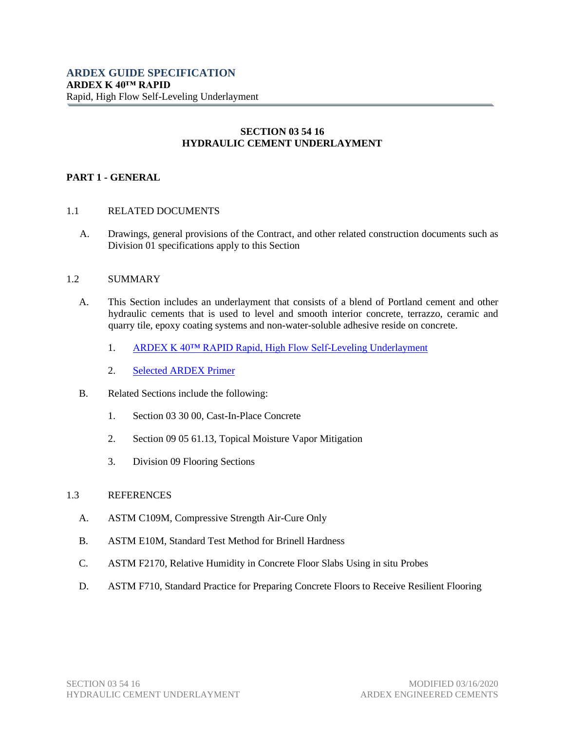# **SECTION 03 54 16 HYDRAULIC CEMENT UNDERLAYMENT**

# **PART 1 - GENERAL**

# 1.1 RELATED DOCUMENTS

A. Drawings, general provisions of the Contract, and other related construction documents such as Division 01 specifications apply to this Section

# 1.2 SUMMARY

- A. This Section includes an underlayment that consists of a blend of Portland cement and other hydraulic cements that is used to level and smooth interior concrete, terrazzo, ceramic and quarry tile, epoxy coating systems and non-water-soluble adhesive reside on concrete.
	- 1. [ARDEX K 40™ RAPID Rapid, High Flow Self-Leveling Underlayment](https://www.ardexamericas.com/product/ardex-k-40-rapid/)
	- 2. [Selected ARDEX](https://www.ardexamericas.com/products/subfloor-preparation/primers-crack-joint-repair-additives/) Primer
- B. Related Sections include the following:
	- 1. Section 03 30 00, Cast-In-Place Concrete
	- 2. Section 09 05 61.13, Topical Moisture Vapor Mitigation
	- 3. Division 09 Flooring Sections

# 1.3 REFERENCES

- A. ASTM C109M, Compressive Strength Air-Cure Only
- B. ASTM E10M, Standard Test Method for Brinell Hardness
- C. ASTM F2170, Relative Humidity in Concrete Floor Slabs Using in situ Probes
- D. ASTM F710, Standard Practice for Preparing Concrete Floors to Receive Resilient Flooring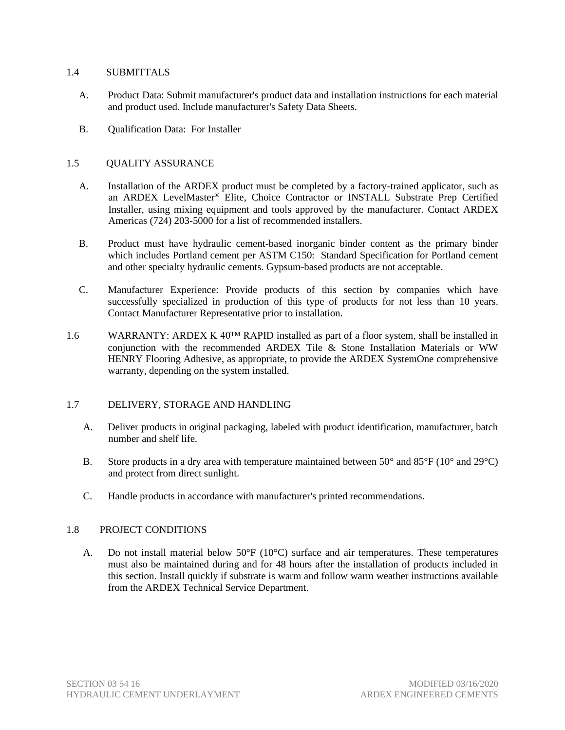### 1.4 SUBMITTALS

- A. Product Data: Submit manufacturer's product data and installation instructions for each material and product used. Include manufacturer's Safety Data Sheets.
- B. Qualification Data: For Installer

# 1.5 QUALITY ASSURANCE

- A. Installation of the ARDEX product must be completed by a factory-trained applicator, such as an ARDEX LevelMaster® Elite, Choice Contractor or INSTALL Substrate Prep Certified Installer, using mixing equipment and tools approved by the manufacturer. Contact ARDEX Americas (724) 203-5000 for a list of recommended installers.
- B. Product must have hydraulic cement-based inorganic binder content as the primary binder which includes Portland cement per ASTM C150: Standard Specification for Portland cement and other specialty hydraulic cements. Gypsum-based products are not acceptable.
- C. Manufacturer Experience: Provide products of this section by companies which have successfully specialized in production of this type of products for not less than 10 years. Contact Manufacturer Representative prior to installation.
- 1.6 WARRANTY: ARDEX K 40™ RAPID installed as part of a floor system, shall be installed in conjunction with the recommended ARDEX Tile & Stone Installation Materials or WW HENRY Flooring Adhesive, as appropriate, to provide the ARDEX SystemOne comprehensive warranty, depending on the system installed.

# 1.7 DELIVERY, STORAGE AND HANDLING

- A. Deliver products in original packaging, labeled with product identification, manufacturer, batch number and shelf life.
- B. Store products in a dry area with temperature maintained between 50 $^{\circ}$  and 85 $^{\circ}$ F (10 $^{\circ}$  and 29 $^{\circ}$ C) and protect from direct sunlight.
- C. Handle products in accordance with manufacturer's printed recommendations.

# 1.8 PROJECT CONDITIONS

A. Do not install material below  $50^{\circ}F(10^{\circ}C)$  surface and air temperatures. These temperatures must also be maintained during and for 48 hours after the installation of products included in this section. Install quickly if substrate is warm and follow warm weather instructions available from the ARDEX Technical Service Department.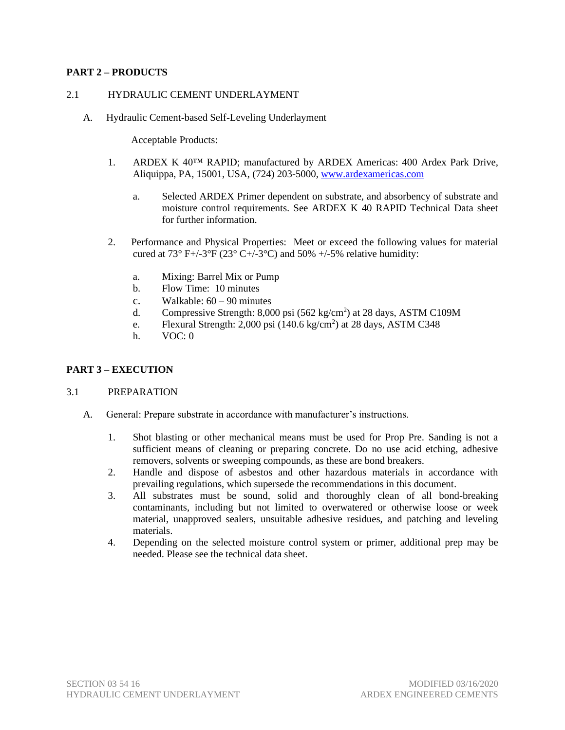# **PART 2 – PRODUCTS**

### 2.1 HYDRAULIC CEMENT UNDERLAYMENT

A. Hydraulic Cement-based Self-Leveling Underlayment

Acceptable Products:

- 1. ARDEX K 40™ RAPID; manufactured by ARDEX Americas: 400 Ardex Park Drive, Aliquippa, PA, 15001, USA, (724) 203-5000, [www.ardexamericas.com](http://www.ardexamericas.com/)
	- a. Selected ARDEX Primer dependent on substrate, and absorbency of substrate and moisture control requirements. See ARDEX K 40 RAPID Technical Data sheet for further information.
- 2. Performance and Physical Properties: Meet or exceed the following values for material cured at  $73^{\circ}$  F+/-3°F ( $23^{\circ}$  C+/-3°C) and  $50\%$  +/-5% relative humidity:
	- a. Mixing: Barrel Mix or Pump
	- b. Flow Time: 10 minutes
	- c. Walkable:  $60 90$  minutes
	- d. Compressive Strength: 8,000 psi (562 kg/cm<sup>2</sup>) at 28 days, ASTM C109M
	- e. Flexural Strength: 2,000 psi  $(140.6 \text{ kg/cm}^2)$  at 28 days, ASTM C348
	- h. VOC: 0

# **PART 3 – EXECUTION**

#### 3.1 PREPARATION

- A. General: Prepare substrate in accordance with manufacturer's instructions.
	- 1. Shot blasting or other mechanical means must be used for Prop Pre. Sanding is not a sufficient means of cleaning or preparing concrete. Do no use acid etching, adhesive removers, solvents or sweeping compounds, as these are bond breakers.
	- 2. Handle and dispose of asbestos and other hazardous materials in accordance with prevailing regulations, which supersede the recommendations in this document.
	- 3. All substrates must be sound, solid and thoroughly clean of all bond-breaking contaminants, including but not limited to overwatered or otherwise loose or week material, unapproved sealers, unsuitable adhesive residues, and patching and leveling materials.
	- 4. Depending on the selected moisture control system or primer, additional prep may be needed. Please see the technical data sheet.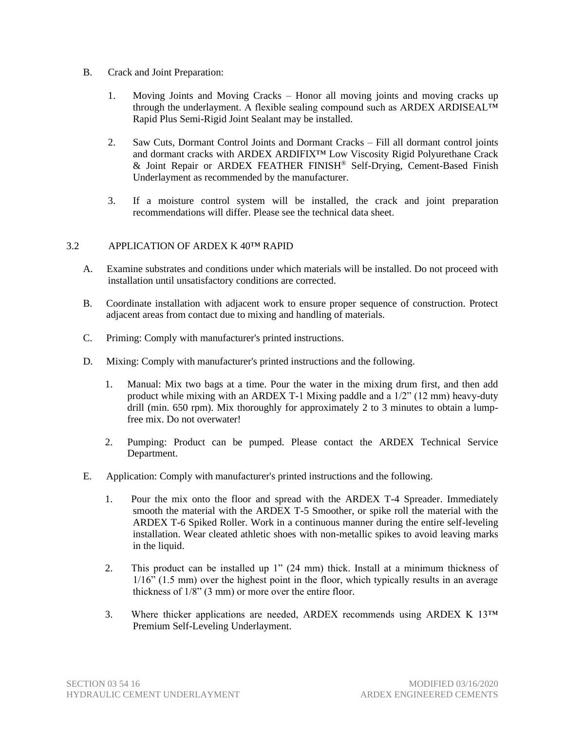- B. Crack and Joint Preparation:
	- 1. Moving Joints and Moving Cracks Honor all moving joints and moving cracks up through the underlayment. A flexible sealing compound such as ARDEX ARDISEALTM Rapid Plus Semi-Rigid Joint Sealant may be installed.
	- 2. Saw Cuts, Dormant Control Joints and Dormant Cracks Fill all dormant control joints and dormant cracks with ARDEX ARDIFIX™ Low Viscosity Rigid Polyurethane Crack & Joint Repair or ARDEX FEATHER FINISH® Self-Drying, Cement-Based Finish Underlayment as recommended by the manufacturer.
	- 3. If a moisture control system will be installed, the crack and joint preparation recommendations will differ. Please see the technical data sheet.

# 3.2 APPLICATION OF ARDEX K 40™ RAPID

- A. Examine substrates and conditions under which materials will be installed. Do not proceed with installation until unsatisfactory conditions are corrected.
- B. Coordinate installation with adjacent work to ensure proper sequence of construction. Protect adjacent areas from contact due to mixing and handling of materials.
- C. Priming: Comply with manufacturer's printed instructions.
- D. Mixing: Comply with manufacturer's printed instructions and the following.
	- 1. Manual: Mix two bags at a time. Pour the water in the mixing drum first, and then add product while mixing with an ARDEX T-1 Mixing paddle and a 1/2" (12 mm) heavy-duty drill (min. 650 rpm). Mix thoroughly for approximately 2 to 3 minutes to obtain a lumpfree mix. Do not overwater!
	- 2. Pumping: Product can be pumped. Please contact the ARDEX Technical Service Department.
- E. Application: Comply with manufacturer's printed instructions and the following.
	- 1. Pour the mix onto the floor and spread with the ARDEX T-4 Spreader. Immediately smooth the material with the ARDEX T-5 Smoother, or spike roll the material with the ARDEX T-6 Spiked Roller. Work in a continuous manner during the entire self-leveling installation. Wear cleated athletic shoes with non-metallic spikes to avoid leaving marks in the liquid.
	- 2. This product can be installed up 1" (24 mm) thick. Install at a minimum thickness of 1/16" (1.5 mm) over the highest point in the floor, which typically results in an average thickness of 1/8" (3 mm) or more over the entire floor.
	- 3. Where thicker applications are needed, ARDEX recommends using ARDEX K  $13^{TM}$ Premium Self-Leveling Underlayment.